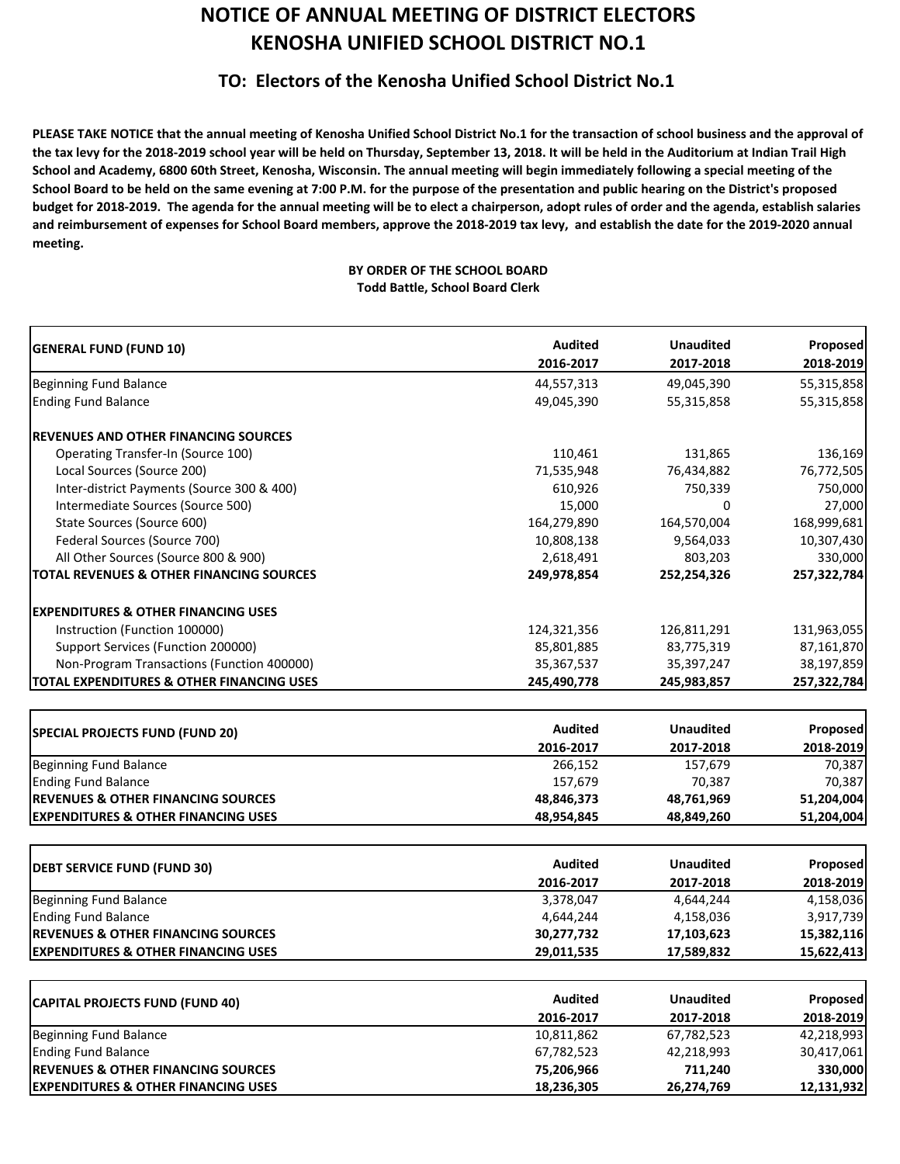## **NOTICE OF ANNUAL MEETING OF DISTRICT ELECTORS KENOSHA UNIFIED SCHOOL DISTRICT NO.1**

## **TO: Electors of the Kenosha Unified School District No.1**

PLEASE TAKE NOTICE that the annual meeting of Kenosha Unified School District No.1 for the transaction of school business and the approval of the tax levy for the 2018-2019 school year will be held on Thursday, September 13, 2018. It will be held in the Auditorium at Indian Trail High School and Academy, 6800 60th Street, Kenosha, Wisconsin. The annual meeting will begin immediately following a special meeting of the School Board to be held on the same evening at 7:00 P.M. for the purpose of the presentation and public hearing on the District's proposed budget for 2018-2019. The agenda for the annual meeting will be to elect a chairperson, adopt rules of order and the agenda, establish salaries and reimbursement of expenses for School Board members, approve the 2018-2019 tax levy, and establish the date for the 2019-2020 annual **meeting.**

## **BY ORDER OF THE SCHOOL BOARD Todd Battle, School Board Clerk**

| <b>GENERAL FUND (FUND 10)</b>                        | <b>Audited</b> | <b>Unaudited</b> | Proposed<br>2018-2019                                                                                                                                                          |
|------------------------------------------------------|----------------|------------------|--------------------------------------------------------------------------------------------------------------------------------------------------------------------------------|
|                                                      | 2016-2017      | 2017-2018        |                                                                                                                                                                                |
| Beginning Fund Balance                               | 44,557,313     | 49,045,390       | 55,315,858                                                                                                                                                                     |
| <b>Ending Fund Balance</b>                           | 49,045,390     | 55,315,858       | 55,315,858                                                                                                                                                                     |
| <b>REVENUES AND OTHER FINANCING SOURCES</b>          |                |                  |                                                                                                                                                                                |
| Operating Transfer-In (Source 100)                   | 110,461        | 131,865          | 136,169                                                                                                                                                                        |
| Local Sources (Source 200)                           | 71,535,948     | 76,434,882       | 76,772,505                                                                                                                                                                     |
| Inter-district Payments (Source 300 & 400)           | 610,926        | 750,339          | 750,000                                                                                                                                                                        |
| Intermediate Sources (Source 500)                    | 15,000         | 0                | 27,000                                                                                                                                                                         |
| State Sources (Source 600)                           | 164,279,890    | 164,570,004      | 168,999,681                                                                                                                                                                    |
| Federal Sources (Source 700)                         | 10,808,138     | 9,564,033        | 10,307,430                                                                                                                                                                     |
| All Other Sources (Source 800 & 900)                 | 2,618,491      | 803,203          | 330,000                                                                                                                                                                        |
| <b>TOTAL REVENUES &amp; OTHER FINANCING SOURCES</b>  | 249,978,854    | 252,254,326      | 257,322,784                                                                                                                                                                    |
| <b>EXPENDITURES &amp; OTHER FINANCING USES</b>       |                |                  |                                                                                                                                                                                |
| Instruction (Function 100000)                        | 124,321,356    | 126,811,291      | 131,963,055                                                                                                                                                                    |
| Support Services (Function 200000)                   | 85,801,885     | 83,775,319       | 87,161,870                                                                                                                                                                     |
| Non-Program Transactions (Function 400000)           | 35, 367, 537   | 35,397,247       | 38,197,859                                                                                                                                                                     |
| <b>TOTAL EXPENDITURES &amp; OTHER FINANCING USES</b> | 245,490,778    | 245,983,857      | 257,322,784                                                                                                                                                                    |
|                                                      |                |                  |                                                                                                                                                                                |
| <b>SPECIAL PROJECTS FUND (FUND 20)</b>               | <b>Audited</b> | <b>Unaudited</b> | Proposed                                                                                                                                                                       |
|                                                      | 2016-2017      | 2017-2018        | 2018-2019                                                                                                                                                                      |
| <b>Beginning Fund Balance</b>                        | 266,152        | 157,679          | 70,387                                                                                                                                                                         |
| <b>Ending Fund Balance</b>                           | 157,679        | 70,387           | 70,387                                                                                                                                                                         |
|                                                      |                |                  |                                                                                                                                                                                |
| <b>REVENUES &amp; OTHER FINANCING SOURCES</b>        | 48,846,373     | 48,761,969       |                                                                                                                                                                                |
| <b>EXPENDITURES &amp; OTHER FINANCING USES</b>       | 48,954,845     | 48,849,260       |                                                                                                                                                                                |
|                                                      |                |                  |                                                                                                                                                                                |
| <b>DEBT SERVICE FUND (FUND 30)</b>                   | <b>Audited</b> | <b>Unaudited</b> |                                                                                                                                                                                |
|                                                      | 2016-2017      | 2017-2018        |                                                                                                                                                                                |
| <b>Beginning Fund Balance</b>                        | 3,378,047      | 4,644,244        |                                                                                                                                                                                |
| <b>Ending Fund Balance</b>                           | 4,644,244      | 4,158,036        |                                                                                                                                                                                |
| <b>REVENUES &amp; OTHER FINANCING SOURCES</b>        | 30,277,732     | 17,103,623       |                                                                                                                                                                                |
| <b>EXPENDITURES &amp; OTHER FINANCING USES</b>       | 29,011,535     | 17,589,832       |                                                                                                                                                                                |
|                                                      | <b>Audited</b> | <b>Unaudited</b> |                                                                                                                                                                                |
| <b>CAPITAL PROJECTS FUND (FUND 40)</b>               | 2016-2017      | 2017-2018        |                                                                                                                                                                                |
| <b>Beginning Fund Balance</b>                        | 10,811,862     | 67,782,523       |                                                                                                                                                                                |
| <b>Ending Fund Balance</b>                           | 67,782,523     | 42,218,993       |                                                                                                                                                                                |
| <b>REVENUES &amp; OTHER FINANCING SOURCES</b>        | 75,206,966     | 711,240          | 51,204,004<br>51,204,004<br>Proposed<br>2018-2019<br>4,158,036<br>3,917,739<br>15,382,116<br>15,622,413<br><b>Proposed</b><br>2018-2019<br>42,218,993<br>30,417,061<br>330,000 |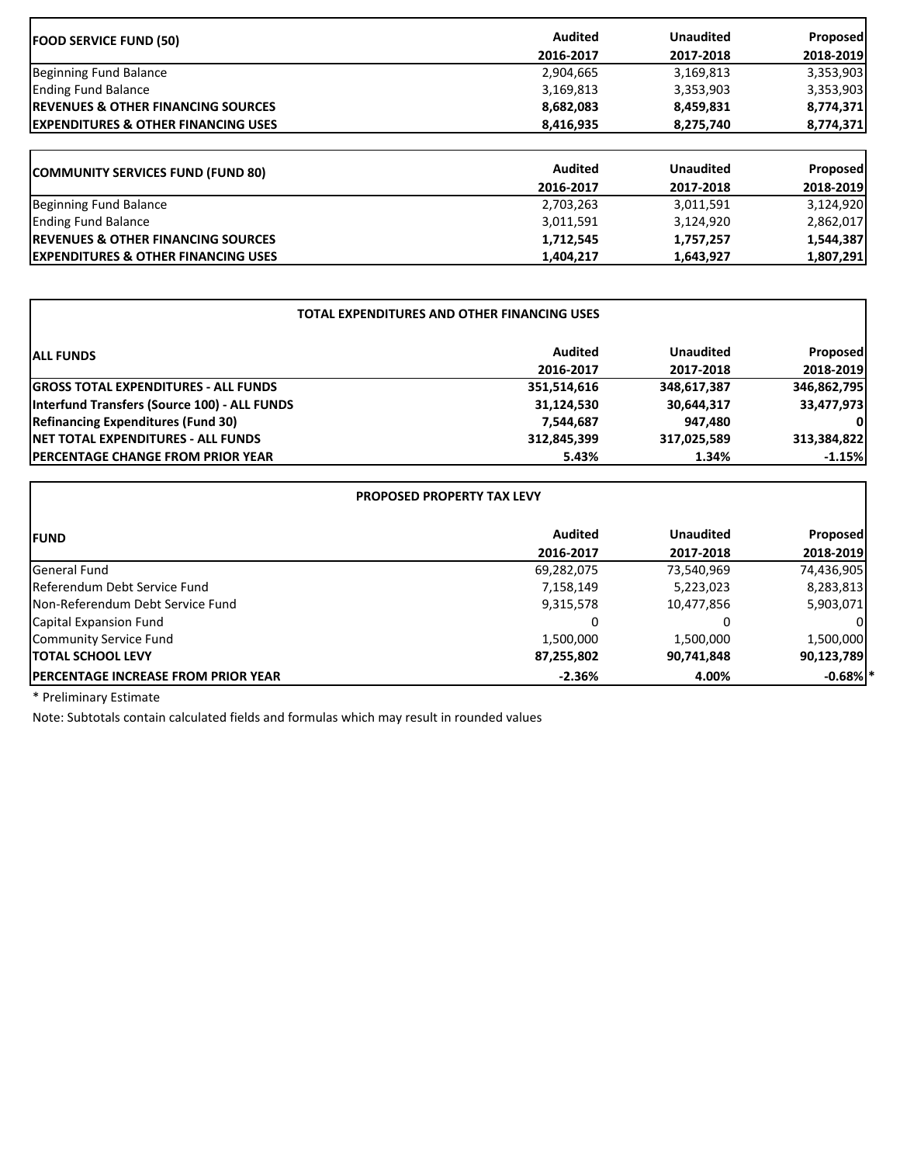| <b>FOOD SERVICE FUND (50)</b>                  | <b>Audited</b> | <b>Unaudited</b> | <b>Proposed</b> |
|------------------------------------------------|----------------|------------------|-----------------|
|                                                | 2016-2017      | 2017-2018        | 2018-2019       |
| Beginning Fund Balance                         | 2,904,665      | 3,169,813        | 3,353,903       |
| <b>Ending Fund Balance</b>                     | 3,169,813      | 3,353,903        | 3,353,903       |
| <b>IREVENUES &amp; OTHER FINANCING SOURCES</b> | 8,682,083      | 8,459,831        | 8,774,371       |
| <b>EXPENDITURES &amp; OTHER FINANCING USES</b> | 8,416,935      | 8,275,740        | 8,774,371       |
| <b>COMMUNITY SERVICES FUND (FUND 80)</b>       | <b>Audited</b> | <b>Unaudited</b> | <b>Proposed</b> |
|                                                | 2016-2017      | 2017-2018        | 2018-2019       |
| Beginning Fund Balance                         | 2,703,263      | 3,011,591        | 3,124,920       |
| <b>Ending Fund Balance</b>                     | 3,011,591      | 3,124,920        | 2,862,017       |
| <b>IREVENUES &amp; OTHER FINANCING SOURCES</b> | 1,712,545      | 1,757,257        | 1,544,387       |
| <b>EXPENDITURES &amp; OTHER FINANCING USES</b> | 1,404,217      | 1,643,927        | 1,807,291       |

٦

| TOTAL EXPENDITURES AND OTHER FINANCING USES  |                |                  |                 |  |
|----------------------------------------------|----------------|------------------|-----------------|--|
| <b>ALL FUNDS</b>                             | <b>Audited</b> | <b>Unaudited</b> | <b>Proposed</b> |  |
|                                              | 2016-2017      | 2017-2018        | 2018-2019       |  |
| <b>GROSS TOTAL EXPENDITURES - ALL FUNDS</b>  | 351,514,616    | 348,617,387      | 346,862,795     |  |
| Interfund Transfers (Source 100) - ALL FUNDS | 31,124,530     | 30,644,317       | 33,477,973      |  |
| <b>Refinancing Expenditures (Fund 30)</b>    | 7,544,687      | 947,480          | ΟI              |  |
| <b>INET TOTAL EXPENDITURES - ALL FUNDS</b>   | 312,845,399    | 317,025,589      | 313,384,822     |  |
| <b>IPERCENTAGE CHANGE FROM PRIOR YEAR</b>    | 5.43%          | 1.34%            | $-1.15%$        |  |

| <b>PROPOSED PROPERTY TAX LEVY</b>           |                |                  |                 |
|---------------------------------------------|----------------|------------------|-----------------|
| <b>IFUND</b>                                | <b>Audited</b> | <b>Unaudited</b> | <b>Proposed</b> |
|                                             | 2016-2017      | 2017-2018        | 2018-2019       |
| General Fund                                | 69,282,075     | 73,540,969       | 74,436,905      |
| Referendum Debt Service Fund                | 7,158,149      | 5,223,023        | 8,283,813       |
| Non-Referendum Debt Service Fund            | 9,315,578      | 10,477,856       | 5,903,071       |
| <b>Capital Expansion Fund</b>               | 0              | 0                |                 |
| Community Service Fund                      | 1,500,000      | 1,500,000        | 1,500,000       |
| <b>ITOTAL SCHOOL LEVY</b>                   | 87,255,802     | 90,741,848       | 90,123,789      |
| <b>IPERCENTAGE INCREASE FROM PRIOR YEAR</b> | $-2.36%$       | 4.00%            | $-0.68\%$ *     |

\* Preliminary Estimate

 $\mathbf{r}$ 

Note: Subtotals contain calculated fields and formulas which may result in rounded values